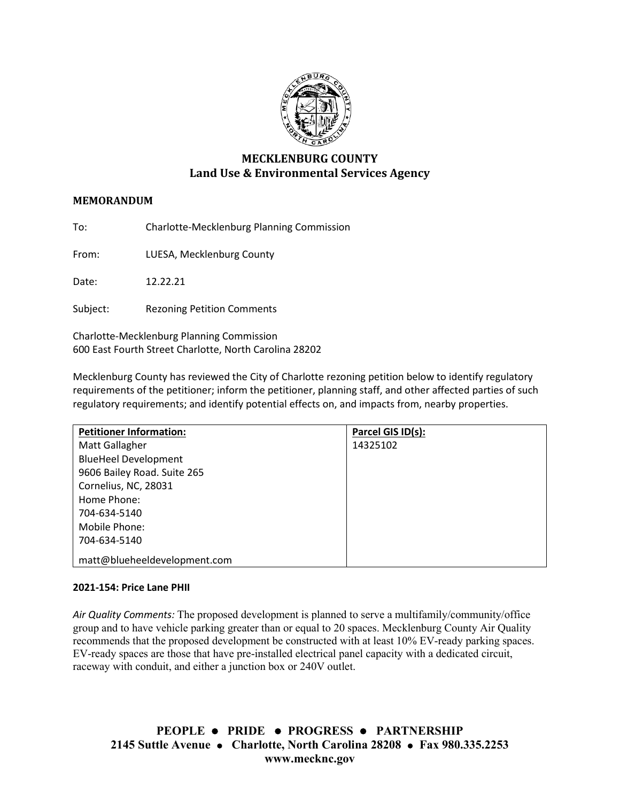

# **MECKLENBURG COUNTY Land Use & Environmental Services Agency**

# **MEMORANDUM**

To: Charlotte-Mecklenburg Planning Commission

From: LUESA, Mecklenburg County

Date: 12.22.21

Subject: Rezoning Petition Comments

Charlotte-Mecklenburg Planning Commission 600 East Fourth Street Charlotte, North Carolina 28202

Mecklenburg County has reviewed the City of Charlotte rezoning petition below to identify regulatory requirements of the petitioner; inform the petitioner, planning staff, and other affected parties of such regulatory requirements; and identify potential effects on, and impacts from, nearby properties.

| <b>Petitioner Information:</b> | Parcel GIS ID(s): |
|--------------------------------|-------------------|
| Matt Gallagher                 | 14325102          |
| <b>BlueHeel Development</b>    |                   |
| 9606 Bailey Road. Suite 265    |                   |
| Cornelius, NC, 28031           |                   |
| Home Phone:                    |                   |
| 704-634-5140                   |                   |
| Mobile Phone:                  |                   |
| 704-634-5140                   |                   |
| matt@blueheeldevelopment.com   |                   |

#### **2021-154: Price Lane PHII**

*Air Quality Comments:* The proposed development is planned to serve a multifamily/community/office group and to have vehicle parking greater than or equal to 20 spaces. Mecklenburg County Air Quality recommends that the proposed development be constructed with at least 10% EV-ready parking spaces. EV-ready spaces are those that have pre-installed electrical panel capacity with a dedicated circuit, raceway with conduit, and either a junction box or 240V outlet.